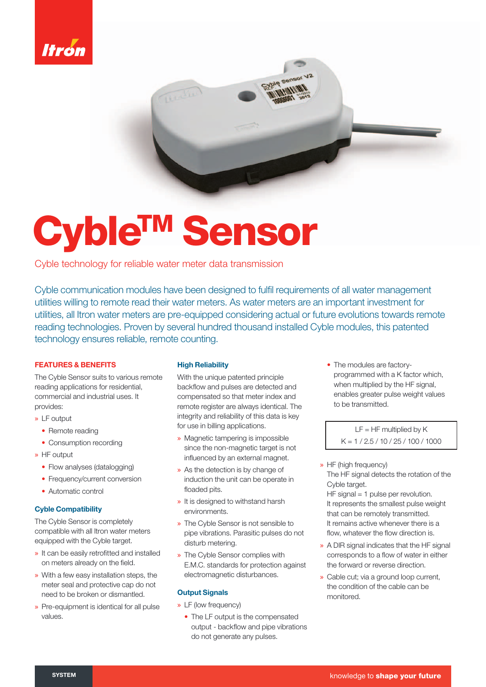

# Cyble<sup>rm</sup> Sensor

Cyble technology for reliable water meter data transmission

Cyble communication modules have been designed to fulfil requirements of all water management utilities willing to remote read their water meters. As water meters are an important investment for utilities, all Itron water meters are pre-equipped considering actual or future evolutions towards remote reading technologies. Proven by several hundred thousand installed Cyble modules, this patented technology ensures reliable, remote counting.

# **FEATURES & BENEFITS**

The Cyble Sensor suits to various remote reading applications for residential, commercial and industrial uses. It provides:

- » LF output
	- Remote reading
	- Consumption recording
- » HF output
	- Flow analyses (datalogging)
	- Frequency/current conversion
	- Automatic control
- **Cyble Compatibility**

The Cyble Sensor is completely compatible with all Itron water meters equipped with the Cyble target.

- » It can be easily retrofitted and installed on meters already on the field.
- » With a few easy installation steps, the meter seal and protective cap do not need to be broken or dismantled.
- » Pre-equipment is identical for all pulse values.

### **High Reliability**

With the unique patented principle backflow and pulses are detected and compensated so that meter index and remote register are always identical. The integrity and reliability of this data is key for use in billing applications.

- » Magnetic tampering is impossible since the non-magnetic target is not influenced by an external magnet.
- » As the detection is by change of induction the unit can be operate in floaded pits.
- » It is designed to withstand harsh environments.
- » The Cyble Sensor is not sensible to pipe vibrations. Parasitic pulses do not disturb metering.
- » The Cyble Sensor complies with E.M.C. standards for protection against electromagnetic disturbances.

### **Output Signals**

- » LF (low frequency)
	- The LF output is the compensated output - backflow and pipe vibrations do not generate any pulses.

**•** The modules are factoryprogrammed with a K factor which, when multiplied by the HF signal, enables greater pulse weight values to be transmitted.

> $LF = HF$  multiplied by  $K$  $K = 1 / 2.5 / 10 / 25 / 100 / 1000$

## » HF (high frequency)

The HF signal detects the rotation of the Cyble target.

HF signal = 1 pulse per revolution. It represents the smallest pulse weight that can be remotely transmitted. It remains active whenever there is a flow, whatever the flow direction is.

- » A DIR signal indicates that the HF signal corresponds to a flow of water in either the forward or reverse direction.
- » Cable cut; via a ground loop current, the condition of the cable can be monitored.